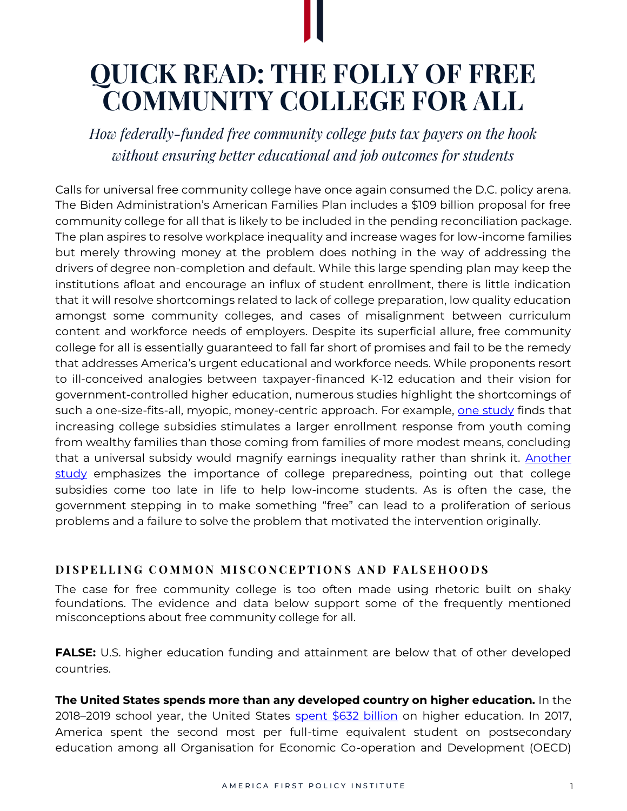## **QUICK READ: THE FOLLY OF FREE COMMUNITY COLLEGE FOR ALL**

*How federally-funded free community college puts tax payers on the hook without ensuring better educational and job outcomes for students*

Calls for universal free community college have once again consumed the D.C. policy arena. The Biden Administration's American Families Plan includes a \$109 billion proposal for free community college for all that is likely to be included in the pending reconciliation package. The plan aspires to resolve workplace inequality and increase wages for low-income families but merely throwing money at the problem does nothing in the way of addressing the drivers of degree non-completion and default. While this large spending plan may keep the institutions afloat and encourage an influx of student enrollment, there is little indication that it will resolve shortcomings related to lack of college preparation, low quality education amongst some community colleges, and cases of misalignment between curriculum content and workforce needs of employers. Despite its superficial allure, free community college for all is essentially guaranteed to fall far short of promises and fail to be the remedy that addresses America's urgent educational and workforce needs. While proponents resort to ill-conceived analogies between taxpayer-financed K-12 education and their vision for government-controlled higher education, numerous studies highlight the shortcomings of such a one-size-fits-all, myopic, money-centric approach. For example, [one study](https://www.nber.org/system/files/working_papers/w13912/w13912.pdf) finds that increasing college subsidies stimulates a larger enrollment response from youth coming from wealthy families than those coming from families of more modest means, concluding that a universal subsidy would magnify earnings inequality rather than shrink it. Another [study](https://www.aeaweb.org/articles?id=10.1257/0002828043052213) emphasizes the importance of college preparedness, pointing out that college subsidies come too late in life to help low-income students. As is often the case, the government stepping in to make something "free" can lead to a proliferation of serious problems and a failure to solve the problem that motivated the intervention originally.

## **DISPELLING COMMON MISCONCEPTIONS AND FALSEHOODS**

The case for free community college is too often made using rhetoric built on shaky foundations. The evidence and data below support some of the frequently mentioned misconceptions about free community college for all.

**FALSE:** U.S. higher education funding and attainment are below that of other developed countries.

**The United States spends more than any developed country on higher education.** In the 2018–2019 school year, the United States [spent \\$632 billion](https://nces.ed.gov/programs/coe/indicator/cue) on higher education. In 2017, America spent the second most per full-time equivalent student on postsecondary education among all Organisation for Economic Co-operation and Development (OECD)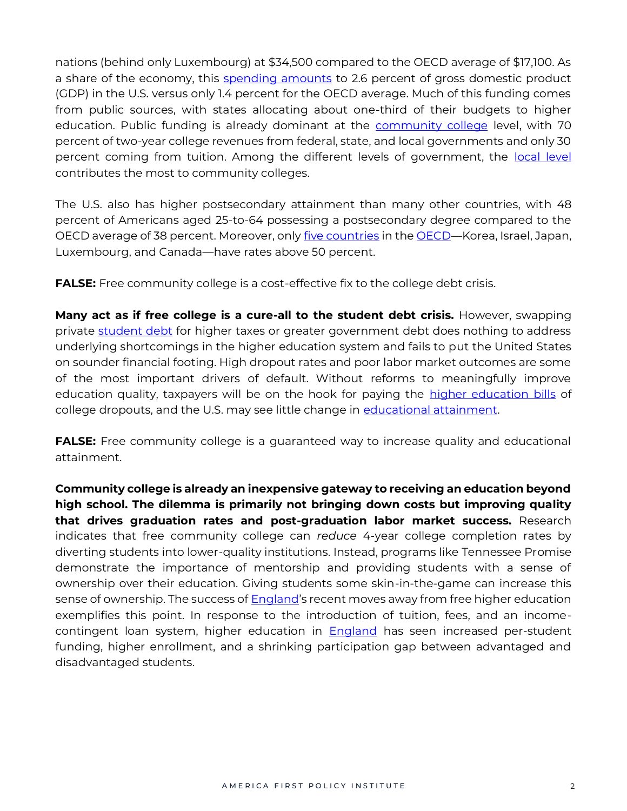nations (behind only Luxembourg) at \$34,500 compared to the OECD average of \$17,100. As a share of the economy, this [spending amounts](https://nces.ed.gov/programs/coe/indicator/cmd) to 2.6 percent of gross domestic product (GDP) in the U.S. versus only 1.4 percent for the OECD average. Much of this funding comes from public sources, with states allocating about one-third of their budgets to higher education. Public funding is already dominant at the [community college](https://research.collegeboard.org/pdf/trends-college-pricing-student-aid-2020.pdf) level, with 70 percent of two-year college revenues from federal, state, and local governments and only 30 percent coming from tuition. Among the different levels of government, the [local level](https://www.urban.org/policy-centers/cross-center-initiatives/state-and-local-finance-initiative/state-and-local-backgrounders/higher-education-expenditures%23Question1Higher) contributes the most to community colleges.

The U.S. also has higher postsecondary attainment than many other countries, with 48 percent of Americans aged 25-to-64 possessing a postsecondary degree compared to the OECD average of 38 percent. Moreover, onl[y five countries](https://nces.ed.gov/pubs2021/2021144.pdf) in th[e OECD](https://nces.ed.gov/programs/coe/indicator/cac)—Korea, Israel, Japan, Luxembourg, and Canada—have rates above 50 percent.

**FALSE:** Free community college is a cost-effective fix to the college debt crisis.

**Many act as if free college is a cure-all to the student debt crisis.** However, swapping private [student debt](https://www.thecgo.org/wp-content/uploads/2020/04/rif-2019.005.pdf) for higher taxes or greater government debt does nothing to address underlying shortcomings in the higher education system and fails to put the United States on sounder financial footing. High dropout rates and poor labor market outcomes are some of the most important drivers of default. Without reforms to meaningfully improve education quality, taxpayers will be on the hook for paying the [higher education bills](https://economics.uwo.ca/people/caucutt_docs/jedc.pdf) of college dropouts, and the U.S. may see little change in [educational attainment.](https://www.aeaweb.org/articles?id=10.1257/mac.20160396)

**FALSE:** Free community college is a guaranteed way to increase quality and educational attainment.

**Community college is already an inexpensive gateway to receiving an education beyond high school. The dilemma is primarily not bringing down costs but improving quality that drives graduation rates and post-graduation labor market success.** Research indicates that free community college can *reduce* 4-year college completion rates by diverting students into lower-quality institutions. Instead, programs like Tennessee Promise demonstrate the importance of mentorship and providing students with a sense of ownership over their education. Giving students some skin-in-the-game can increase this sense of ownership. The success of **England's** recent moves away from free higher education exemplifies this point. In response to the introduction of tuition, fees, and an incomecontingent loan system, higher education in [England](https://www.brookings.edu/wp-content/uploads/2017/04/es_20170427_scott-clayton_evidence_speaks.pdf) has seen increased per-student funding, higher enrollment, and a shrinking participation gap between advantaged and disadvantaged students.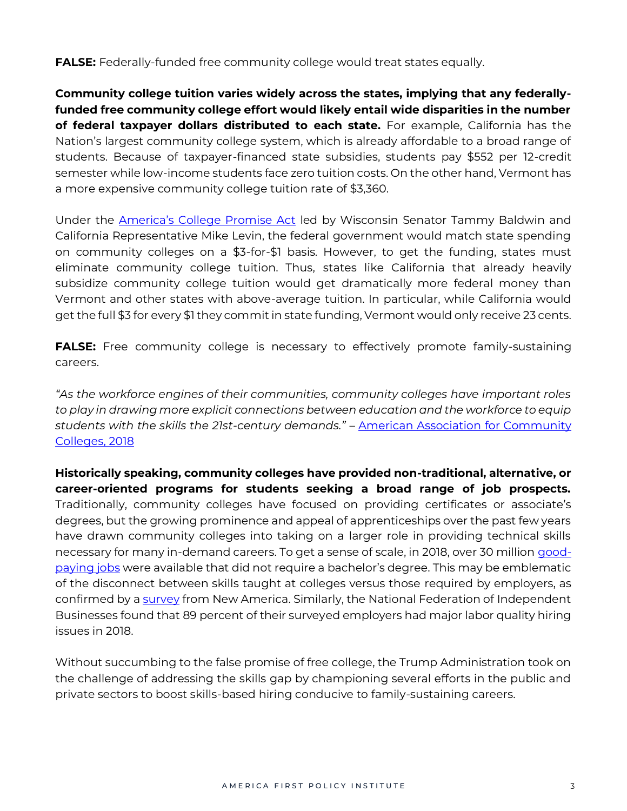**FALSE:** Federally-funded free community college would treat states equally.

**Community college tuition varies widely across the states, implying that any federallyfunded free community college effort would likely entail wide disparities in the number of federal taxpayer dollars distributed to each state.** For example, California has the Nation's largest community college system, which is already affordable to a broad range of students. Because of taxpayer-financed state subsidies, students pay \$552 per 12-credit semester while low-income students face zero tuition costs. On the other hand, Vermont has a more expensive community college tuition rate of \$3,360.

Under the [America's College Promise Act](https://www.congress.gov/117/bills/hr2861/BILLS-117hr2861ih.pdf) led by Wisconsin Senator Tammy Baldwin and California Representative Mike Levin, the federal government would match state spending on community colleges on a \$3-for-\$1 basis. However, to get the funding, states must eliminate community college tuition. Thus, states like California that already heavily subsidize community college tuition would get dramatically more federal money than Vermont and other states with above-average tuition. In particular, while California would get the full \$3 for every \$1 they commit in state funding, Vermont would only receive 23 cents.

**FALSE:** Free community college is necessary to effectively promote family-sustaining careers.

*"As the workforce engines of their communities, community colleges have important roles to play in drawing more explicit connections between education and the workforce to equip students with the skills the 21st-century demands."* – [American Association for Community](https://www.aacc.nche.edu/wp-content/uploads/2018/11/ACCT8114_Aligning_for_tudent_SuccessPaper_v6.pdf)  [Colleges, 2018](https://www.aacc.nche.edu/wp-content/uploads/2018/11/ACCT8114_Aligning_for_tudent_SuccessPaper_v6.pdf)

**Historically speaking, community colleges have provided non-traditional, alternative, or career-oriented programs for students seeking a broad range of job prospects.** Traditionally, community colleges have focused on providing certificates or associate's degrees, but the growing prominence and appeal of apprenticeships over the past few years have drawn community colleges into taking on a larger role in providing technical skills necessary for many in-demand careers. To get a sense of scale, in 2018, over 30 million [good](https://goodjobsdata.org/)[paying jobs](https://goodjobsdata.org/) were available that did not require a bachelor's degree. This may be emblematic of the disconnect between skills taught at colleges versus those required by employers, as confirmed by a [survey](https://www.newamerica.org/education-policy/policy-papers/varying-degrees/) from New America. Similarly, the National Federation of Independent Businesses found that 89 percent of their surveyed employers had major labor quality hiring issues in 2018.

Without succumbing to the false promise of free college, the Trump Administration took on the challenge of addressing the skills gap by championing several efforts in the public and private sectors to boost skills-based hiring conducive to family-sustaining careers.